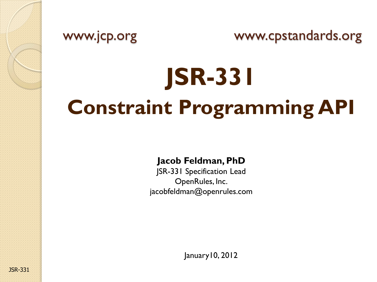www.jcp.org www.cpstandards.org

# **JSR-331 Constraint Programming API**

**Jacob Feldman, PhD**

JSR-331 Specification Lead OpenRules, Inc. jacobfeldman@openrules.com

January10, 2012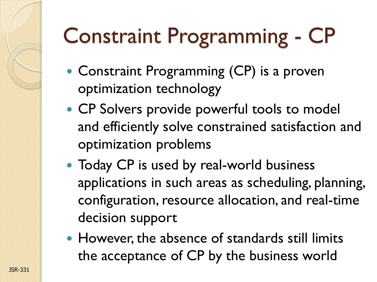# Constraint Programming - CP

- Constraint Programming (CP) is a proven optimization technology
- CP Solvers provide powerful tools to model and efficiently solve constrained satisfaction and optimization problems
- Today CP is used by real-world business applications in such areas as scheduling, planning, configuration, resource allocation, and real-time decision support
- However, the absence of standards still limits the acceptance of CP by the business world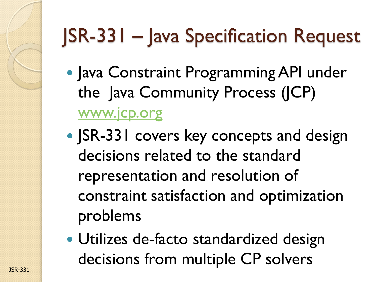### JSR-331 – Java Specification Request

- Java Constraint Programming API under the Java Community Process (JCP) [www.jcp.org](http://www.jcp.org/)
- JSR-331 covers key concepts and design decisions related to the standard representation and resolution of constraint satisfaction and optimization problems
- Utilizes de-facto standardized design decisions from multiple CP solvers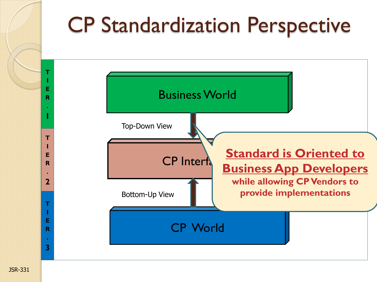#### CP Standardization Perspective



**T I E R . 1**

**T I E R . 2**

**T I E R**

> **. 3**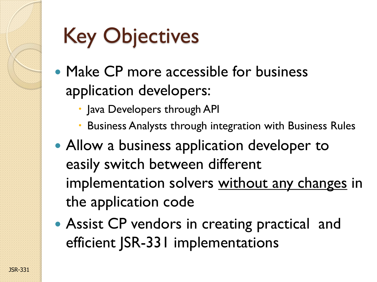

## Key Objectives

- Make CP more accessible for business application developers:
	- Java Developers through API
	- Business Analysts through integration with Business Rules
- Allow a business application developer to easily switch between different implementation solvers without any changes in the application code
- Assist CP vendors in creating practical and efficient JSR-331 implementations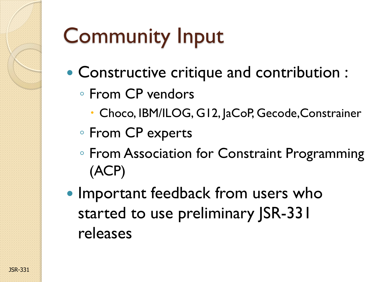# Community Input

- Constructive critique and contribution :
	- From CP vendors
		- Choco, IBM/ILOG, G12, JaCoP, Gecode,Constrainer
	- From CP experts
	- From Association for Constraint Programming (ACP)
- Important feedback from users who started to use preliminary JSR-331 releases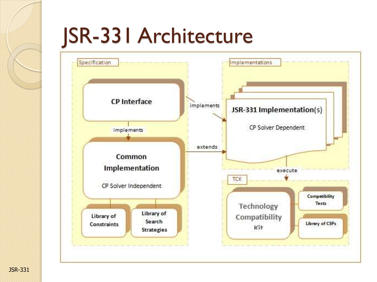## JSR-331 Architecture

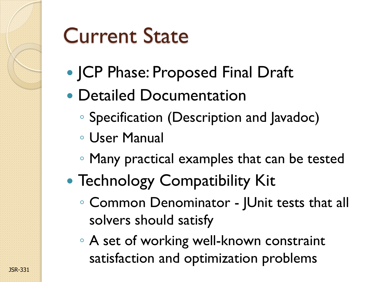# JSR-331

#### Current State

- JCP Phase: Proposed Final Draft
- Detailed Documentation
	- Specification (Description and Javadoc)
	- User Manual
	- Many practical examples that can be tested
- **Technology Compatibility Kit** 
	- Common Denominator JUnit tests that all solvers should satisfy
	- A set of working well-known constraint satisfaction and optimization problems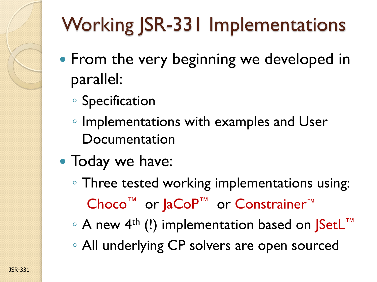

## Working SR-331 Implementations

- From the very beginning we developed in parallel:
	- Specification
	- Implementations with examples and User Documentation
- Today we have:
	- Three tested working implementations using: Choco™ or JaCoP™ or Constrainer™
	- A new 4th (!) implementation based on JSetL™
	- All underlying CP solvers are open sourced